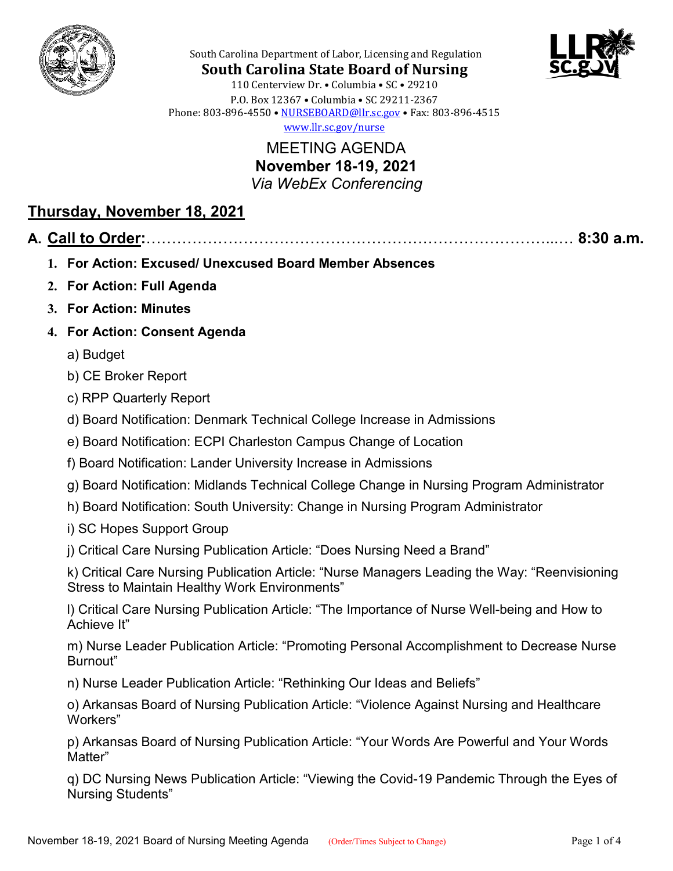



**South Carolina State Board of Nursing** 110 Centerview Dr. • Columbia • SC • 29210 P.O. Box 12367 • Columbia • SC 29211-2367 Phone: 803-896-4550 • [NURSEBOARD@llr.sc.gov](mailto:contactllr@llr.sc.gov) • Fax: 803-896-4515 [www.llr.sc.gov/nurse](http://www.llr.sc.gov/nurse)

South Carolina Department of Labor, Licensing and Regulation

MEETING AGENDA **November 18-19, 2021** *Via WebEx Conferencing*

## **Thursday, November 18, 2021**

## **A. Call to Order:**……………………………………………………………………...… **8:30 a.m.**

- **1. For Action: Excused/ Unexcused Board Member Absences**
- **2. For Action: Full Agenda**
- **3. For Action: Minutes**
- **4. For Action: Consent Agenda**
	- a) Budget
	- b) CE Broker Report
	- c) RPP Quarterly Report
	- d) Board Notification: Denmark Technical College Increase in Admissions
	- e) Board Notification: ECPI Charleston Campus Change of Location
	- f) Board Notification: Lander University Increase in Admissions
	- g) Board Notification: Midlands Technical College Change in Nursing Program Administrator
	- h) Board Notification: South University: Change in Nursing Program Administrator
	- i) SC Hopes Support Group

j) Critical Care Nursing Publication Article: "Does Nursing Need a Brand"

k) Critical Care Nursing Publication Article: "Nurse Managers Leading the Way: "Reenvisioning Stress to Maintain Healthy Work Environments"

l) Critical Care Nursing Publication Article: "The Importance of Nurse Well-being and How to Achieve It"

m) Nurse Leader Publication Article: "Promoting Personal Accomplishment to Decrease Nurse Burnout"

n) Nurse Leader Publication Article: "Rethinking Our Ideas and Beliefs"

o) Arkansas Board of Nursing Publication Article: "Violence Against Nursing and Healthcare Workers"

p) Arkansas Board of Nursing Publication Article: "Your Words Are Powerful and Your Words Matter"

q) DC Nursing News Publication Article: "Viewing the Covid-19 Pandemic Through the Eyes of Nursing Students"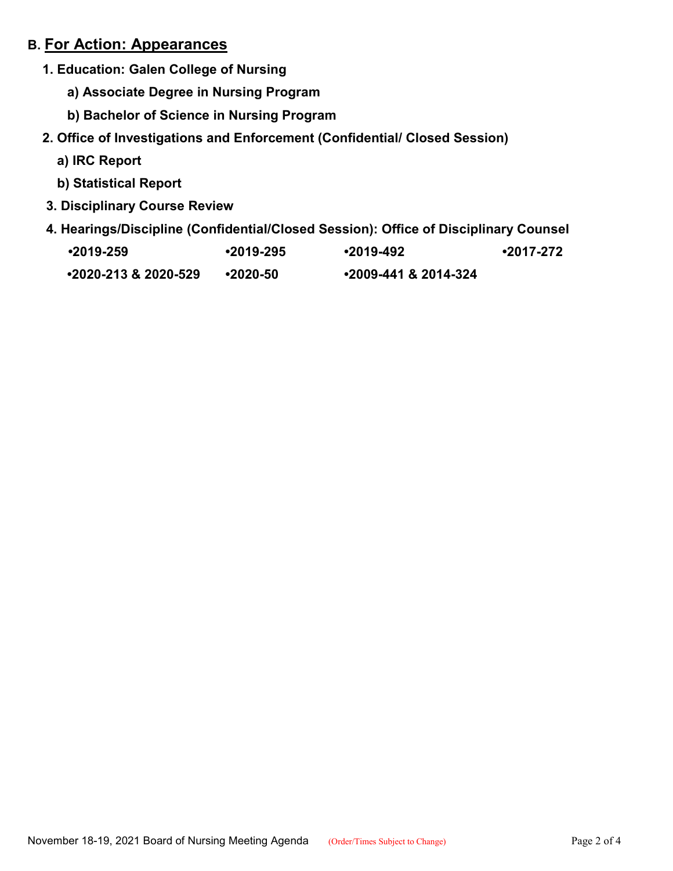## **B. For Action: Appearances**

- **1. Education: Galen College of Nursing**
	- **a) Associate Degree in Nursing Program**
	- **b) Bachelor of Science in Nursing Program**
- **2. Office of Investigations and Enforcement (Confidential/ Closed Session)**
	- **a) IRC Report**
	- **b) Statistical Report**
- **3. Disciplinary Course Review**
- **4. Hearings/Discipline (Confidential/Closed Session): Office of Disciplinary Counsel**

| $•2019-259$                 | ∙2019-295 | $•2019-492$                 | •2017-272 |
|-----------------------------|-----------|-----------------------------|-----------|
| $\cdot$ 2020-213 & 2020-529 | •2020-50  | $\cdot$ 2009-441 & 2014-324 |           |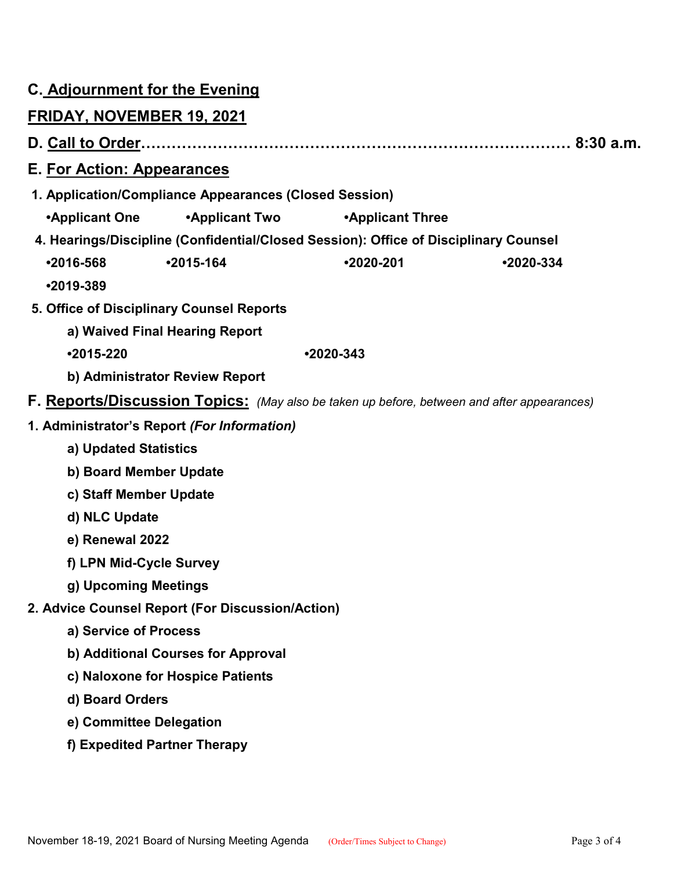|                                                                                      |                                  | <b>C. Adjournment for the Evening</b>                  |                         |                                                                                            |  |  |  |
|--------------------------------------------------------------------------------------|----------------------------------|--------------------------------------------------------|-------------------------|--------------------------------------------------------------------------------------------|--|--|--|
|                                                                                      | <b>FRIDAY, NOVEMBER 19, 2021</b> |                                                        |                         |                                                                                            |  |  |  |
|                                                                                      |                                  |                                                        |                         |                                                                                            |  |  |  |
|                                                                                      | E. For Action: Appearances       |                                                        |                         |                                                                                            |  |  |  |
|                                                                                      |                                  | 1. Application/Compliance Appearances (Closed Session) |                         |                                                                                            |  |  |  |
|                                                                                      | ∙Applicant One                   | •Applicant Two                                         | <b>•Applicant Three</b> |                                                                                            |  |  |  |
| 4. Hearings/Discipline (Confidential/Closed Session): Office of Disciplinary Counsel |                                  |                                                        |                         |                                                                                            |  |  |  |
|                                                                                      | $•2016-568$                      | $•2015-164$                                            | $•2020 - 201$           | $•2020-334$                                                                                |  |  |  |
|                                                                                      | $•2019-389$                      |                                                        |                         |                                                                                            |  |  |  |
| 5. Office of Disciplinary Counsel Reports                                            |                                  |                                                        |                         |                                                                                            |  |  |  |
| a) Waived Final Hearing Report                                                       |                                  |                                                        |                         |                                                                                            |  |  |  |
|                                                                                      | $•2015 - 220$<br>$•2020-343$     |                                                        |                         |                                                                                            |  |  |  |
|                                                                                      | b) Administrator Review Report   |                                                        |                         |                                                                                            |  |  |  |
|                                                                                      |                                  |                                                        |                         | F. Reports/Discussion Topics: (May also be taken up before, between and after appearances) |  |  |  |
|                                                                                      |                                  | 1. Administrator's Report (For Information)            |                         |                                                                                            |  |  |  |
|                                                                                      | a) Updated Statistics            |                                                        |                         |                                                                                            |  |  |  |
| b) Board Member Update                                                               |                                  |                                                        |                         |                                                                                            |  |  |  |
| c) Staff Member Update                                                               |                                  |                                                        |                         |                                                                                            |  |  |  |
| d) NLC Update                                                                        |                                  |                                                        |                         |                                                                                            |  |  |  |
|                                                                                      | e) Renewal 2022                  |                                                        |                         |                                                                                            |  |  |  |
|                                                                                      | f) LPN Mid-Cycle Survey          |                                                        |                         |                                                                                            |  |  |  |
|                                                                                      | g) Upcoming Meetings             |                                                        |                         |                                                                                            |  |  |  |
|                                                                                      |                                  | 2. Advice Counsel Report (For Discussion/Action)       |                         |                                                                                            |  |  |  |
|                                                                                      | a) Service of Process            |                                                        |                         |                                                                                            |  |  |  |
|                                                                                      |                                  | b) Additional Courses for Approval                     |                         |                                                                                            |  |  |  |
|                                                                                      |                                  | c) Naloxone for Hospice Patients                       |                         |                                                                                            |  |  |  |
|                                                                                      | d) Board Orders                  |                                                        |                         |                                                                                            |  |  |  |
|                                                                                      | e) Committee Delegation          |                                                        |                         |                                                                                            |  |  |  |
|                                                                                      | f) Expedited Partner Therapy     |                                                        |                         |                                                                                            |  |  |  |
|                                                                                      |                                  |                                                        |                         |                                                                                            |  |  |  |